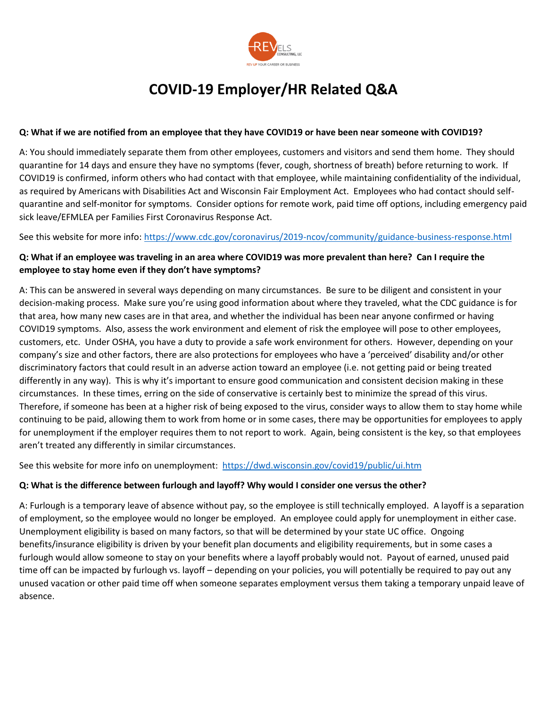

# **COVID-19 Employer/HR Related Q&A**

### **Q: What if we are notified from an employee that they have COVID19 or have been near someone with COVID19?**

A: You should immediately separate them from other employees, customers and visitors and send them home. They should quarantine for 14 days and ensure they have no symptoms (fever, cough, shortness of breath) before returning to work. If COVID19 is confirmed, inform others who had contact with that employee, while maintaining confidentiality of the individual, as required by Americans with Disabilities Act and Wisconsin Fair Employment Act. Employees who had contact should selfquarantine and self-monitor for symptoms. Consider options for remote work, paid time off options, including emergency paid sick leave/EFMLEA per Families First Coronavirus Response Act.

See this website for more info:<https://www.cdc.gov/coronavirus/2019-ncov/community/guidance-business-response.html>

# **Q: What if an employee was traveling in an area where COVID19 was more prevalent than here? Can I require the employee to stay home even if they don't have symptoms?**

A: This can be answered in several ways depending on many circumstances. Be sure to be diligent and consistent in your decision-making process. Make sure you're using good information about where they traveled, what the CDC guidance is for that area, how many new cases are in that area, and whether the individual has been near anyone confirmed or having COVID19 symptoms. Also, assess the work environment and element of risk the employee will pose to other employees, customers, etc. Under OSHA, you have a duty to provide a safe work environment for others. However, depending on your company's size and other factors, there are also protections for employees who have a 'perceived' disability and/or other discriminatory factors that could result in an adverse action toward an employee (i.e. not getting paid or being treated differently in any way). This is why it's important to ensure good communication and consistent decision making in these circumstances. In these times, erring on the side of conservative is certainly best to minimize the spread of this virus. Therefore, if someone has been at a higher risk of being exposed to the virus, consider ways to allow them to stay home while continuing to be paid, allowing them to work from home or in some cases, there may be opportunities for employees to apply for unemployment if the employer requires them to not report to work. Again, being consistent is the key, so that employees aren't treated any differently in similar circumstances.

See this website for more info on unemployment: <https://dwd.wisconsin.gov/covid19/public/ui.htm>

## **Q: What is the difference between furlough and layoff? Why would I consider one versus the other?**

A: Furlough is a temporary leave of absence without pay, so the employee is still technically employed. A layoff is a separation of employment, so the employee would no longer be employed. An employee could apply for unemployment in either case. Unemployment eligibility is based on many factors, so that will be determined by your state UC office. Ongoing benefits/insurance eligibility is driven by your benefit plan documents and eligibility requirements, but in some cases a furlough would allow someone to stay on your benefits where a layoff probably would not. Payout of earned, unused paid time off can be impacted by furlough vs. layoff – depending on your policies, you will potentially be required to pay out any unused vacation or other paid time off when someone separates employment versus them taking a temporary unpaid leave of absence.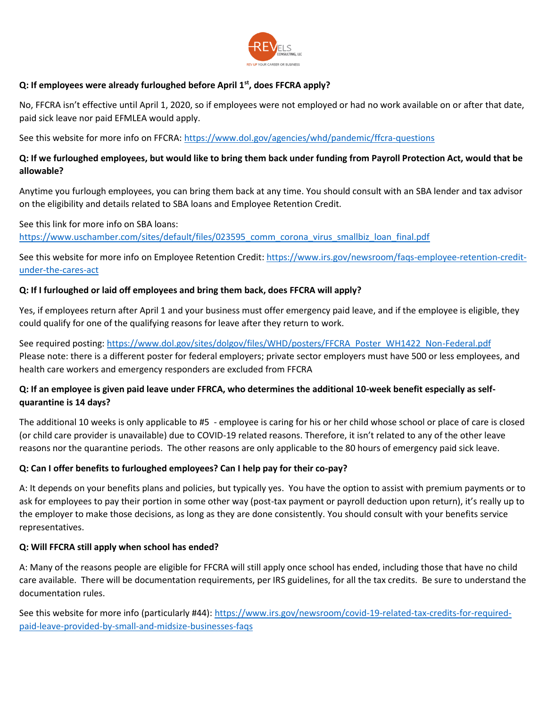

## **Q: If employees were already furloughed before April 1st, does FFCRA apply?**

No, FFCRA isn't effective until April 1, 2020, so if employees were not employed or had no work available on or after that date, paid sick leave nor paid EFMLEA would apply.

See this website for more info on FFCRA:<https://www.dol.gov/agencies/whd/pandemic/ffcra-questions>

# **Q: If we furloughed employees, but would like to bring them back under funding from Payroll Protection Act, would that be allowable?**

Anytime you furlough employees, you can bring them back at any time. You should consult with an SBA lender and tax advisor on the eligibility and details related to SBA loans and Employee Retention Credit.

See this link for more info on SBA loans:

[https://www.uschamber.com/sites/default/files/023595\\_comm\\_corona\\_virus\\_smallbiz\\_loan\\_final.pdf](https://www.uschamber.com/sites/default/files/023595_comm_corona_virus_smallbiz_loan_final.pdf)

See this website for more info on Employee Retention Credit[: https://www.irs.gov/newsroom/faqs-employee-retention-credit](https://www.irs.gov/newsroom/faqs-employee-retention-credit-under-the-cares-act)[under-the-cares-act](https://www.irs.gov/newsroom/faqs-employee-retention-credit-under-the-cares-act)

#### **Q: If I furloughed or laid off employees and bring them back, does FFCRA will apply?**

Yes, if employees return after April 1 and your business must offer emergency paid leave, and if the employee is eligible, they could qualify for one of the qualifying reasons for leave after they return to work.

See required posting: https://www.dol.gov/sites/dolgov/files/WHD/posters/FFCRA\_Poster\_WH1422\_Non-Federal.pdf Please note: there is a different poster for federal employers; private sector employers must have 500 or less employees, and health care workers and emergency responders are excluded from FFCRA

# **Q: If an employee is given paid leave under FFRCA, who determines the additional 10-week benefit especially as selfquarantine is 14 days?**

The additional 10 weeks is only applicable to #5 - employee is caring for his or her child whose school or place of care is closed (or child care provider is unavailable) due to COVID-19 related reasons. Therefore, it isn't related to any of the other leave reasons nor the quarantine periods. The other reasons are only applicable to the 80 hours of emergency paid sick leave.

## **Q: Can I offer benefits to furloughed employees? Can I help pay for their co-pay?**

A: It depends on your benefits plans and policies, but typically yes. You have the option to assist with premium payments or to ask for employees to pay their portion in some other way (post-tax payment or payroll deduction upon return), it's really up to the employer to make those decisions, as long as they are done consistently. You should consult with your benefits service representatives.

#### **Q: Will FFCRA still apply when school has ended?**

A: Many of the reasons people are eligible for FFCRA will still apply once school has ended, including those that have no child care available. There will be documentation requirements, per IRS guidelines, for all the tax credits. Be sure to understand the documentation rules.

See this website for more info (particularly #44): [https://www.irs.gov/newsroom/covid-19-related-tax-credits-for-required](https://www.irs.gov/newsroom/covid-19-related-tax-credits-for-required-paid-leave-provided-by-small-and-midsize-businesses-faqs)[paid-leave-provided-by-small-and-midsize-businesses-faqs](https://www.irs.gov/newsroom/covid-19-related-tax-credits-for-required-paid-leave-provided-by-small-and-midsize-businesses-faqs)